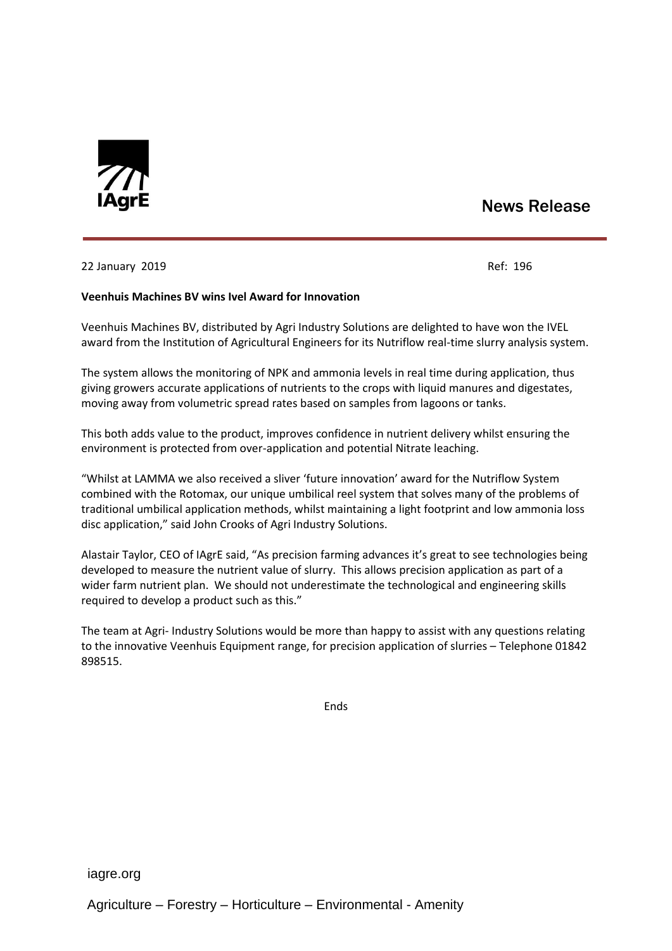

# News Release

## 22 January 2019 Ref: 196

#### **Veenhuis Machines BV wins Ivel Award for Innovation**

Veenhuis Machines BV, distributed by Agri Industry Solutions are delighted to have won the IVEL award from the Institution of Agricultural Engineers for its Nutriflow real-time slurry analysis system.

The system allows the monitoring of NPK and ammonia levels in real time during application, thus giving growers accurate applications of nutrients to the crops with liquid manures and digestates, moving away from volumetric spread rates based on samples from lagoons or tanks.

This both adds value to the product, improves confidence in nutrient delivery whilst ensuring the environment is protected from over-application and potential Nitrate leaching.

"Whilst at LAMMA we also received a sliver 'future innovation' award for the Nutriflow System combined with the Rotomax, our unique umbilical reel system that solves many of the problems of traditional umbilical application methods, whilst maintaining a light footprint and low ammonia loss disc application," said John Crooks of Agri Industry Solutions.

Alastair Taylor, CEO of IAgrE said, "As precision farming advances it's great to see technologies being developed to measure the nutrient value of slurry. This allows precision application as part of a wider farm nutrient plan. We should not underestimate the technological and engineering skills required to develop a product such as this."

The team at Agri- Industry Solutions would be more than happy to assist with any questions relating to the innovative Veenhuis Equipment range, for precision application of slurries – Telephone 01842 898515.

Ends

iagre.org

Agriculture – Forestry – Horticulture – Environmental - Amenity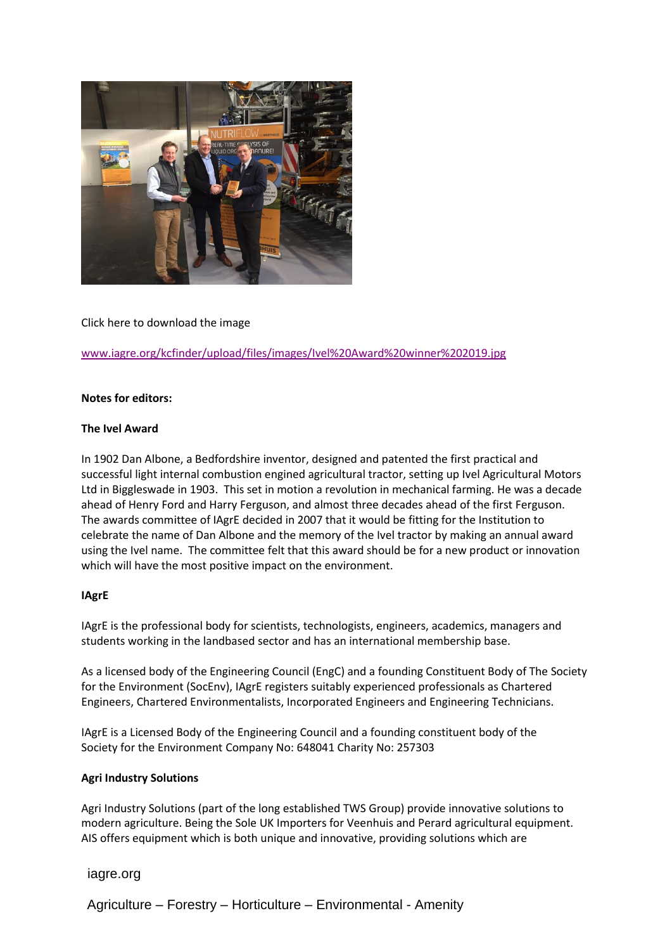

# Click here to download the image

[www.iagre.org/kcfinder/upload/files/images/Ivel%20Award%20winner%202019.jpg](http://www.iagre.org/kcfinder/upload/files/images/Ivel%20Award%20winner%202019.jpg)

#### **Notes for editors:**

### **The Ivel Award**

In 1902 Dan Albone, a Bedfordshire inventor, designed and patented the first practical and successful light internal combustion engined agricultural tractor, setting up Ivel Agricultural Motors Ltd in Biggleswade in 1903. This set in motion a revolution in mechanical farming. He was a decade ahead of Henry Ford and Harry Ferguson, and almost three decades ahead of the first Ferguson. The awards committee of IAgrE decided in 2007 that it would be fitting for the Institution to celebrate the name of Dan Albone and the memory of the Ivel tractor by making an annual award using the Ivel name. The committee felt that this award should be for a new product or innovation which will have the most positive impact on the environment.

#### **IAgrE**

IAgrE is the professional body for scientists, technologists, engineers, academics, managers and students working in the landbased sector and has an international membership base.

As a licensed body of the Engineering Council (EngC) and a founding Constituent Body of The Society for the Environment (SocEnv), IAgrE registers suitably experienced professionals as Chartered Engineers, Chartered Environmentalists, Incorporated Engineers and Engineering Technicians.

IAgrE is a Licensed Body of the Engineering Council and a founding constituent body of the Society for the Environment Company No: 648041 Charity No: 257303

#### **Agri Industry Solutions**

Agri Industry Solutions (part of the long established TWS Group) provide innovative solutions to modern agriculture. Being the Sole UK Importers for Veenhuis and Perard agricultural equipment. AIS offers equipment which is both unique and innovative, providing solutions which are

# iagre.org

Agriculture – Forestry – Horticulture – Environmental - Amenity